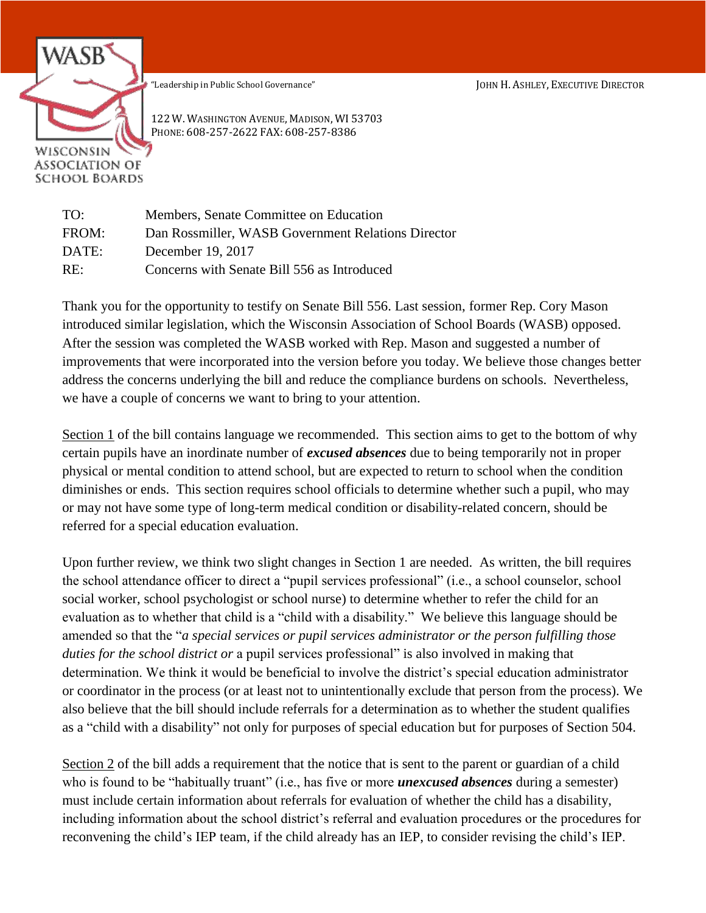"Leadership in Public School Governance" JOHN H. ASHLEY, EXECUTIVE DIRECTOR



122 W. WASHINGTON AVENUE, MADISON, WI 53703 PHONE: 608-257-2622 FAX: 608-257-8386

| TO:   | Members, Senate Committee on Education             |
|-------|----------------------------------------------------|
| FROM: | Dan Rossmiller, WASB Government Relations Director |
| DATE: | December 19, 2017                                  |
| RE:   | Concerns with Senate Bill 556 as Introduced        |

Thank you for the opportunity to testify on Senate Bill 556. Last session, former Rep. Cory Mason introduced similar legislation, which the Wisconsin Association of School Boards (WASB) opposed. After the session was completed the WASB worked with Rep. Mason and suggested a number of improvements that were incorporated into the version before you today. We believe those changes better address the concerns underlying the bill and reduce the compliance burdens on schools. Nevertheless, we have a couple of concerns we want to bring to your attention.

Section 1 of the bill contains language we recommended. This section aims to get to the bottom of why certain pupils have an inordinate number of *excused absences* due to being temporarily not in proper physical or mental condition to attend school, but are expected to return to school when the condition diminishes or ends. This section requires school officials to determine whether such a pupil, who may or may not have some type of long-term medical condition or disability-related concern, should be referred for a special education evaluation.

Upon further review, we think two slight changes in Section 1 are needed. As written, the bill requires the school attendance officer to direct a "pupil services professional" (i.e., a school counselor, school social worker, school psychologist or school nurse) to determine whether to refer the child for an evaluation as to whether that child is a "child with a disability." We believe this language should be amended so that the "*a special services or pupil services administrator or the person fulfilling those duties for the school district or* a pupil services professional" is also involved in making that determination. We think it would be beneficial to involve the district's special education administrator or coordinator in the process (or at least not to unintentionally exclude that person from the process). We also believe that the bill should include referrals for a determination as to whether the student qualifies as a "child with a disability" not only for purposes of special education but for purposes of Section 504.

Section 2 of the bill adds a requirement that the notice that is sent to the parent or guardian of a child who is found to be "habitually truant" (i.e., has five or more *unexcused absences* during a semester) must include certain information about referrals for evaluation of whether the child has a disability, including information about the school district's referral and evaluation procedures or the procedures for reconvening the child's IEP team, if the child already has an IEP, to consider revising the child's IEP.